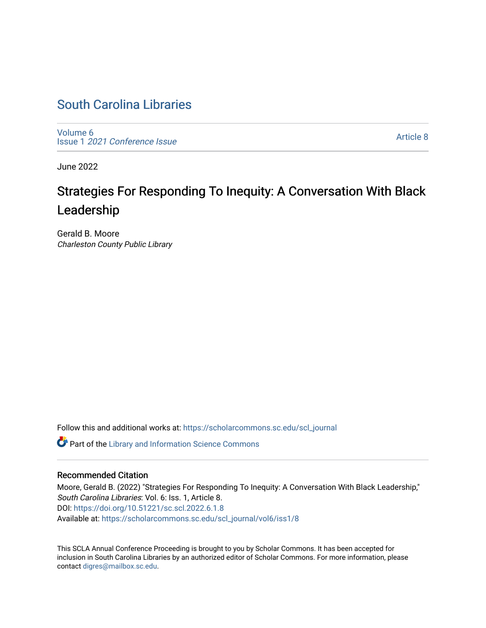# [South Carolina Libraries](https://scholarcommons.sc.edu/scl_journal)

[Volume 6](https://scholarcommons.sc.edu/scl_journal/vol6) Issue 1 [2021 Conference Issue](https://scholarcommons.sc.edu/scl_journal/vol6/iss1)

[Article 8](https://scholarcommons.sc.edu/scl_journal/vol6/iss1/8) 

June 2022

# Strategies For Responding To Inequity: A Conversation With Black Leadership

Gerald B. Moore Charleston County Public Library

Follow this and additional works at: [https://scholarcommons.sc.edu/scl\\_journal](https://scholarcommons.sc.edu/scl_journal?utm_source=scholarcommons.sc.edu%2Fscl_journal%2Fvol6%2Fiss1%2F8&utm_medium=PDF&utm_campaign=PDFCoverPages) 

Part of the [Library and Information Science Commons](https://network.bepress.com/hgg/discipline/1018?utm_source=scholarcommons.sc.edu%2Fscl_journal%2Fvol6%2Fiss1%2F8&utm_medium=PDF&utm_campaign=PDFCoverPages) 

#### Recommended Citation

Moore, Gerald B. (2022) "Strategies For Responding To Inequity: A Conversation With Black Leadership," South Carolina Libraries: Vol. 6: Iss. 1, Article 8. DOI:<https://doi.org/10.51221/sc.scl.2022.6.1.8> Available at: [https://scholarcommons.sc.edu/scl\\_journal/vol6/iss1/8](https://scholarcommons.sc.edu/scl_journal/vol6/iss1/8?utm_source=scholarcommons.sc.edu%2Fscl_journal%2Fvol6%2Fiss1%2F8&utm_medium=PDF&utm_campaign=PDFCoverPages) 

This SCLA Annual Conference Proceeding is brought to you by Scholar Commons. It has been accepted for inclusion in South Carolina Libraries by an authorized editor of Scholar Commons. For more information, please contact [digres@mailbox.sc.edu.](mailto:digres@mailbox.sc.edu)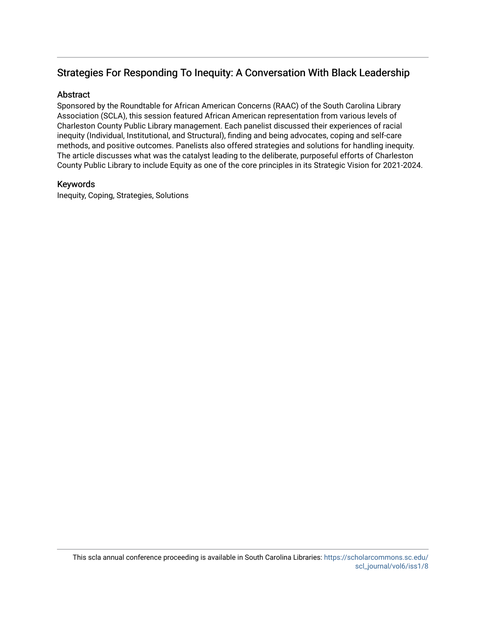## Strategies For Responding To Inequity: A Conversation With Black Leadership

#### **Abstract**

Sponsored by the Roundtable for African American Concerns (RAAC) of the South Carolina Library Association (SCLA), this session featured African American representation from various levels of Charleston County Public Library management. Each panelist discussed their experiences of racial inequity (Individual, Institutional, and Structural), finding and being advocates, coping and self-care methods, and positive outcomes. Panelists also offered strategies and solutions for handling inequity. The article discusses what was the catalyst leading to the deliberate, purposeful efforts of Charleston County Public Library to include Equity as one of the core principles in its Strategic Vision for 2021-2024.

#### Keywords

Inequity, Coping, Strategies, Solutions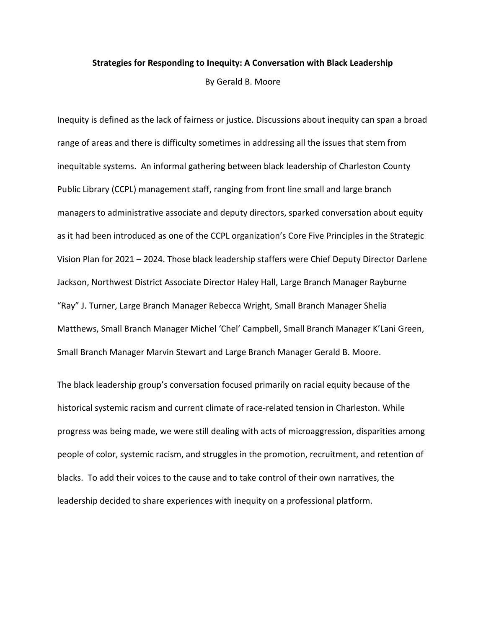#### **Strategies for Responding to Inequity: A Conversation with Black Leadership**

By Gerald B. Moore

Inequity is defined as the lack of fairness or justice. Discussions about inequity can span a broad range of areas and there is difficulty sometimes in addressing all the issues that stem from inequitable systems. An informal gathering between black leadership of Charleston County Public Library (CCPL) management staff, ranging from front line small and large branch managers to administrative associate and deputy directors, sparked conversation about equity as it had been introduced as one of the CCPL organization's Core Five Principles in the Strategic Vision Plan for 2021 – 2024. Those black leadership staffers were Chief Deputy Director Darlene Jackson, Northwest District Associate Director Haley Hall, Large Branch Manager Rayburne "Ray" J. Turner, Large Branch Manager Rebecca Wright, Small Branch Manager Shelia Matthews, Small Branch Manager Michel 'Chel' Campbell, Small Branch Manager K'Lani Green, Small Branch Manager Marvin Stewart and Large Branch Manager Gerald B. Moore.

The black leadership group's conversation focused primarily on racial equity because of the historical systemic racism and current climate of race-related tension in Charleston. While progress was being made, we were still dealing with acts of microaggression, disparities among people of color, systemic racism, and struggles in the promotion, recruitment, and retention of blacks. To add their voices to the cause and to take control of their own narratives, the leadership decided to share experiences with inequity on a professional platform.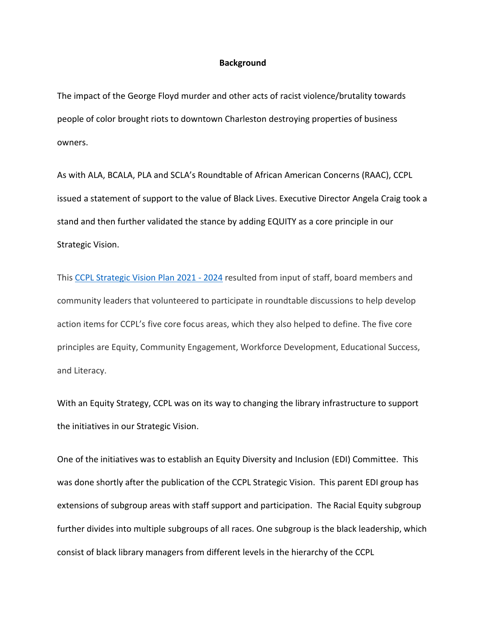#### **Background**

The impact of the George Floyd murder and other acts of racist violence/brutality towards people of color brought riots to downtown Charleston destroying properties of business owners.

As with ALA, BCALA, PLA and SCLA's Roundtable of African American Concerns (RAAC), CCPL issued a statement of support to the value of Black Lives. Executive Director Angela Craig took a stand and then further validated the stance by adding EQUITY as a core principle in our Strategic Vision.

This [CCPL Strategic Vision Plan 2021 -](https://www.ccpl.org/strategicvision) 2024 resulted from input of staff, board members and community leaders that volunteered to participate in roundtable discussions to help develop action items for CCPL's five core focus areas, which they also helped to define. The five core principles are Equity, Community Engagement, Workforce Development, Educational Success, and Literacy.

With an Equity Strategy, CCPL was on its way to changing the library infrastructure to support the initiatives in our Strategic Vision.

One of the initiatives was to establish an Equity Diversity and Inclusion (EDI) Committee. This was done shortly after the publication of the CCPL Strategic Vision. This parent EDI group has extensions of subgroup areas with staff support and participation. The Racial Equity subgroup further divides into multiple subgroups of all races. One subgroup is the black leadership, which consist of black library managers from different levels in the hierarchy of the CCPL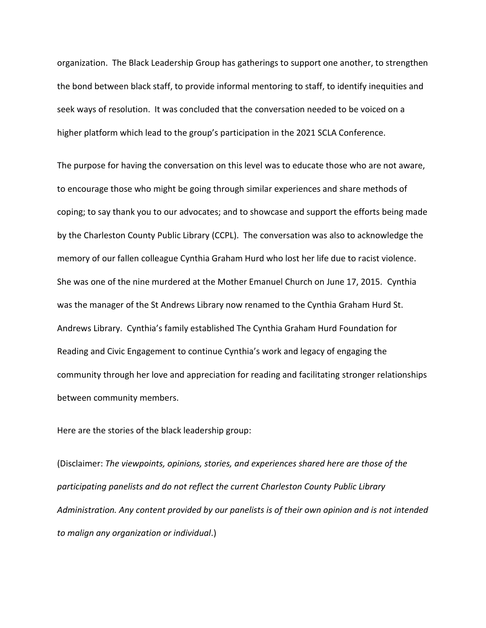organization. The Black Leadership Group has gatherings to support one another, to strengthen the bond between black staff, to provide informal mentoring to staff, to identify inequities and seek ways of resolution. It was concluded that the conversation needed to be voiced on a higher platform which lead to the group's participation in the 2021 SCLA Conference.

The purpose for having the conversation on this level was to educate those who are not aware, to encourage those who might be going through similar experiences and share methods of coping; to say thank you to our advocates; and to showcase and support the efforts being made by the Charleston County Public Library (CCPL). The conversation was also to acknowledge the memory of our fallen colleague Cynthia Graham Hurd who lost her life due to racist violence. She was one of the nine murdered at the Mother Emanuel Church on June 17, 2015. Cynthia was the manager of the St Andrews Library now renamed to the Cynthia Graham Hurd St. Andrews Library. Cynthia's family established The Cynthia Graham Hurd Foundation for Reading and Civic Engagement to continue Cynthia's work and legacy of engaging the community through her love and appreciation for reading and facilitating stronger relationships between community members.

Here are the stories of the black leadership group:

(Disclaimer: *The viewpoints, opinions, stories, and experiences shared here are those of the participating panelists and do not reflect the current Charleston County Public Library Administration. Any content provided by our panelists is of their own opinion and is not intended to malign any organization or individual*.)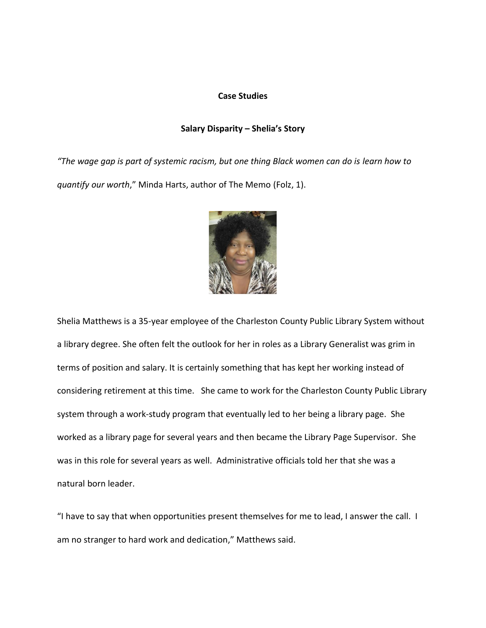#### **Case Studies**

#### **Salary Disparity – Shelia's Story**

"The wage gap is part of systemic racism, but one thing Black women can do is learn how to *quantify our worth*," Minda Harts, author of The Memo (Folz, 1).



Shelia Matthews is a 35-year employee of the Charleston County Public Library System without a library degree. She often felt the outlook for her in roles as a Library Generalist was grim in terms of position and salary. It is certainly something that has kept her working instead of considering retirement at this time. She came to work for the Charleston County Public Library system through a work-study program that eventually led to her being a library page. She worked as a library page for several years and then became the Library Page Supervisor. She was in this role for several years as well. Administrative officials told her that she was a natural born leader.

"I have to say that when opportunities present themselves for me to lead, I answer the call. I am no stranger to hard work and dedication," Matthews said.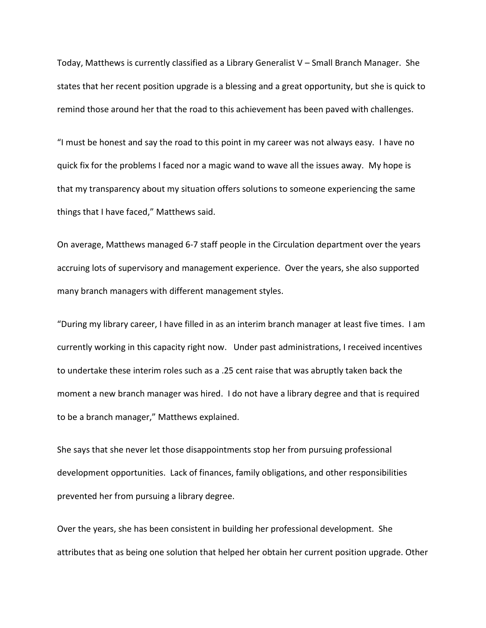Today, Matthews is currently classified as a Library Generalist V – Small Branch Manager. She states that her recent position upgrade is a blessing and a great opportunity, but she is quick to remind those around her that the road to this achievement has been paved with challenges.

"I must be honest and say the road to this point in my career was not always easy. I have no quick fix for the problems I faced nor a magic wand to wave all the issues away. My hope is that my transparency about my situation offers solutions to someone experiencing the same things that I have faced," Matthews said.

On average, Matthews managed 6-7 staff people in the Circulation department over the years accruing lots of supervisory and management experience. Over the years, she also supported many branch managers with different management styles.

"During my library career, I have filled in as an interim branch manager at least five times. I am currently working in this capacity right now. Under past administrations, I received incentives to undertake these interim roles such as a .25 cent raise that was abruptly taken back the moment a new branch manager was hired. I do not have a library degree and that is required to be a branch manager," Matthews explained.

She says that she never let those disappointments stop her from pursuing professional development opportunities. Lack of finances, family obligations, and other responsibilities prevented her from pursuing a library degree.

Over the years, she has been consistent in building her professional development. She attributes that as being one solution that helped her obtain her current position upgrade. Other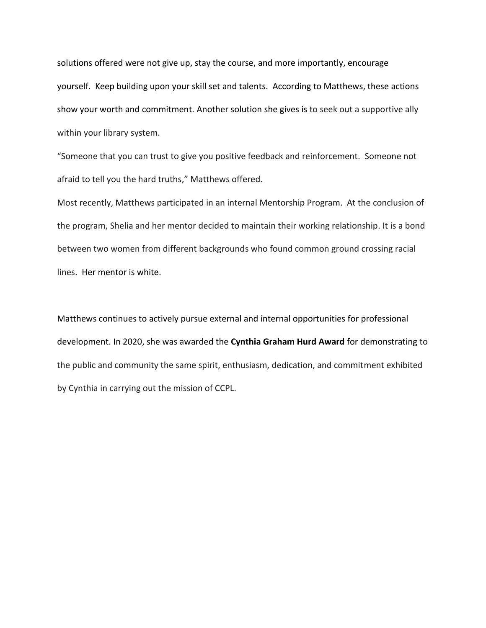solutions offered were not give up, stay the course, and more importantly, encourage yourself. Keep building upon your skill set and talents. According to Matthews, these actions show your worth and commitment. Another solution she gives is to seek out a supportive ally within your library system.

"Someone that you can trust to give you positive feedback and reinforcement. Someone not afraid to tell you the hard truths," Matthews offered.

Most recently, Matthews participated in an internal Mentorship Program. At the conclusion of the program, Shelia and her mentor decided to maintain their working relationship. It is a bond between two women from different backgrounds who found common ground crossing racial lines. Her mentor is white.

Matthews continues to actively pursue external and internal opportunities for professional development. In 2020, she was awarded the **Cynthia Graham Hurd Award** for demonstrating to the public and community the same spirit, enthusiasm, dedication, and commitment exhibited by Cynthia in carrying out the mission of CCPL.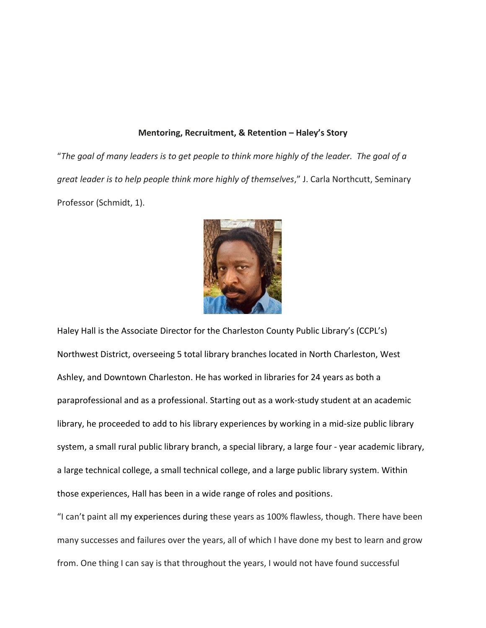#### **Mentoring, Recruitment, & Retention – Haley's Story**

"*The goal of many leaders is to get people to think more highly of the leader. The goal of a great leader is to help people think more highly of themselves*," J. Carla Northcutt, Seminary Professor (Schmidt, 1).



Haley Hall is the Associate Director for the Charleston County Public Library's (CCPL's) Northwest District, overseeing 5 total library branches located in North Charleston, West Ashley, and Downtown Charleston. He has worked in libraries for 24 years as both a paraprofessional and as a professional. Starting out as a work-study student at an academic library, he proceeded to add to his library experiences by working in a mid-size public library system, a small rural public library branch, a special library, a large four - year academic library, a large technical college, a small technical college, and a large public library system. Within those experiences, Hall has been in a wide range of roles and positions.

"I can't paint all my experiences during these years as 100% flawless, though. There have been many successes and failures over the years, all of which I have done my best to learn and grow from. One thing I can say is that throughout the years, I would not have found successful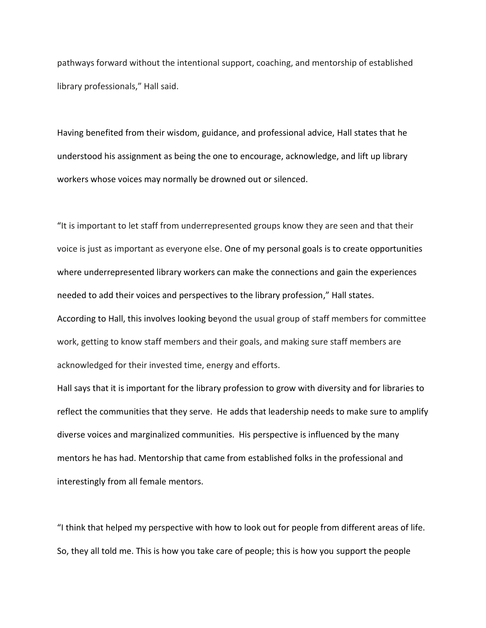pathways forward without the intentional support, coaching, and mentorship of established library professionals," Hall said.

Having benefited from their wisdom, guidance, and professional advice, Hall states that he understood his assignment as being the one to encourage, acknowledge, and lift up library workers whose voices may normally be drowned out or silenced.

"It is important to let staff from underrepresented groups know they are seen and that their voice is just as important as everyone else. One of my personal goals is to create opportunities where underrepresented library workers can make the connections and gain the experiences needed to add their voices and perspectives to the library profession," Hall states. According to Hall, this involves looking beyond the usual group of staff members for committee work, getting to know staff members and their goals, and making sure staff members are acknowledged for their invested time, energy and efforts.

Hall says that it is important for the library profession to grow with diversity and for libraries to reflect the communities that they serve. He adds that leadership needs to make sure to amplify diverse voices and marginalized communities. His perspective is influenced by the many mentors he has had. Mentorship that came from established folks in the professional and interestingly from all female mentors.

"I think that helped my perspective with how to look out for people from different areas of life. So, they all told me. This is how you take care of people; this is how you support the people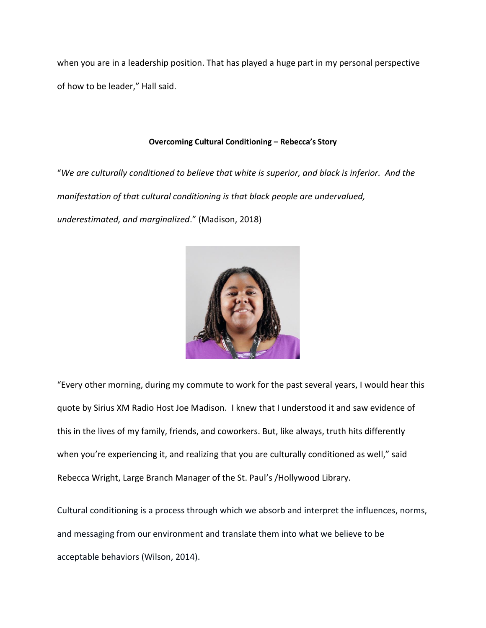when you are in a leadership position. That has played a huge part in my personal perspective of how to be leader," Hall said.

#### **Overcoming Cultural Conditioning – Rebecca's Story**

"*We are culturally conditioned to believe that white is superior, and black is inferior. And the manifestation of that cultural conditioning is that black people are undervalued, underestimated, and marginalized*." (Madison, 2018)



"Every other morning, during my commute to work for the past several years, I would hear this quote by Sirius XM Radio Host Joe Madison. I knew that I understood it and saw evidence of this in the lives of my family, friends, and coworkers. But, like always, truth hits differently when you're experiencing it, and realizing that you are culturally conditioned as well," said Rebecca Wright, Large Branch Manager of the St. Paul's /Hollywood Library.

Cultural conditioning is a process through which we absorb and interpret the influences, norms, and messaging from our environment and translate them into what we believe to be acceptable behaviors (Wilson, 2014).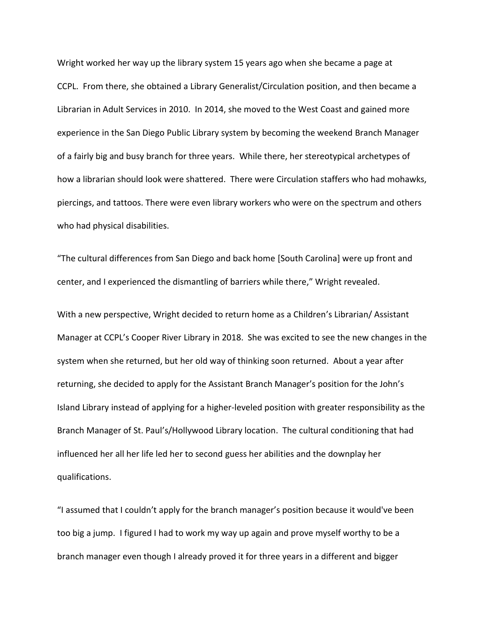Wright worked her way up the library system 15 years ago when she became a page at CCPL. From there, she obtained a Library Generalist/Circulation position, and then became a Librarian in Adult Services in 2010. In 2014, she moved to the West Coast and gained more experience in the San Diego Public Library system by becoming the weekend Branch Manager of a fairly big and busy branch for three years. While there, her stereotypical archetypes of how a librarian should look were shattered. There were Circulation staffers who had mohawks, piercings, and tattoos. There were even library workers who were on the spectrum and others who had physical disabilities.

"The cultural differences from San Diego and back home [South Carolina] were up front and center, and I experienced the dismantling of barriers while there," Wright revealed.

With a new perspective, Wright decided to return home as a Children's Librarian/ Assistant Manager at CCPL's Cooper River Library in 2018. She was excited to see the new changes in the system when she returned, but her old way of thinking soon returned. About a year after returning, she decided to apply for the Assistant Branch Manager's position for the John's Island Library instead of applying for a higher-leveled position with greater responsibility as the Branch Manager of St. Paul's/Hollywood Library location. The cultural conditioning that had influenced her all her life led her to second guess her abilities and the downplay her qualifications.

"I assumed that I couldn't apply for the branch manager's position because it would've been too big a jump. I figured I had to work my way up again and prove myself worthy to be a branch manager even though I already proved it for three years in a different and bigger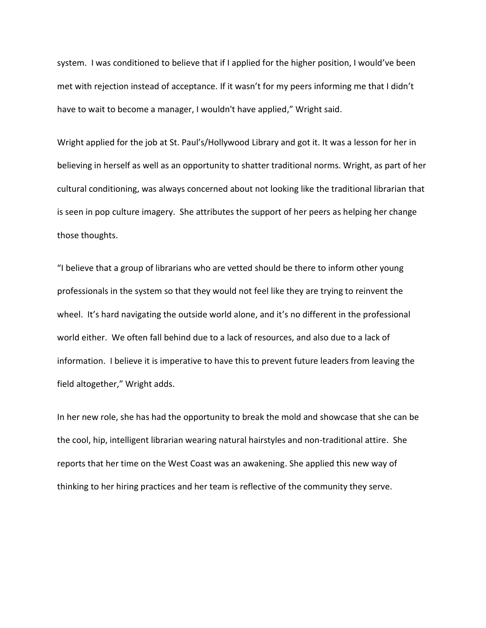system. I was conditioned to believe that if I applied for the higher position, I would've been met with rejection instead of acceptance. If it wasn't for my peers informing me that I didn't have to wait to become a manager, I wouldn't have applied," Wright said.

Wright applied for the job at St. Paul's/Hollywood Library and got it. It was a lesson for her in believing in herself as well as an opportunity to shatter traditional norms. Wright, as part of her cultural conditioning, was always concerned about not looking like the traditional librarian that is seen in pop culture imagery. She attributes the support of her peers as helping her change those thoughts.

"I believe that a group of librarians who are vetted should be there to inform other young professionals in the system so that they would not feel like they are trying to reinvent the wheel. It's hard navigating the outside world alone, and it's no different in the professional world either. We often fall behind due to a lack of resources, and also due to a lack of information. I believe it is imperative to have this to prevent future leaders from leaving the field altogether," Wright adds.

In her new role, she has had the opportunity to break the mold and showcase that she can be the cool, hip, intelligent librarian wearing natural hairstyles and non-traditional attire. She reports that her time on the West Coast was an awakening. She applied this new way of thinking to her hiring practices and her team is reflective of the community they serve.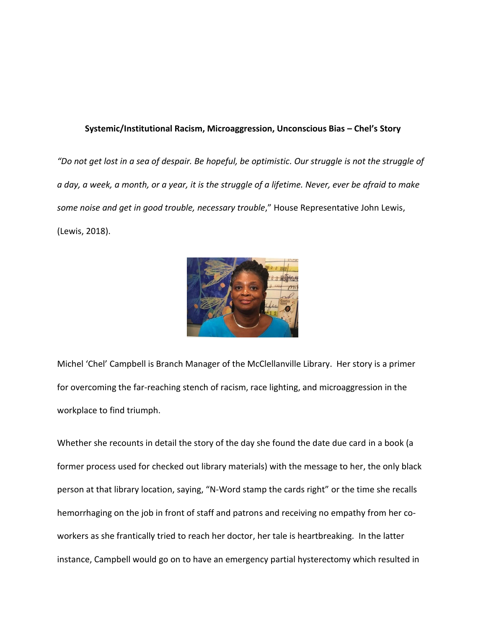#### **Systemic/Institutional Racism, Microaggression, Unconscious Bias – Chel's Story**

*"Do not get lost in a sea of despair. Be hopeful, be optimistic. Our struggle is not the struggle of a day, a week, a month, or a year, it is the struggle of a lifetime. Never, ever be afraid to make some noise and get in good trouble, necessary trouble*," House Representative John Lewis, (Lewis, 2018).



Michel 'Chel' Campbell is Branch Manager of the McClellanville Library. Her story is a primer for overcoming the far-reaching stench of racism, race lighting, and microaggression in the workplace to find triumph.

Whether she recounts in detail the story of the day she found the date due card in a book (a former process used for checked out library materials) with the message to her, the only black person at that library location, saying, "N-Word stamp the cards right" or the time she recalls hemorrhaging on the job in front of staff and patrons and receiving no empathy from her coworkers as she frantically tried to reach her doctor, her tale is heartbreaking. In the latter instance, Campbell would go on to have an emergency partial hysterectomy which resulted in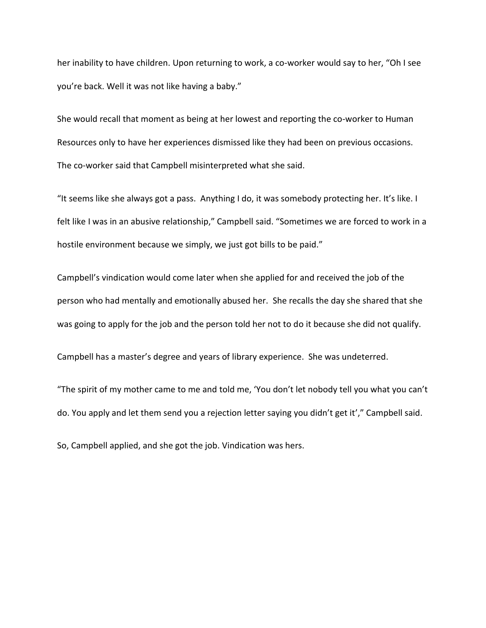her inability to have children. Upon returning to work, a co-worker would say to her, "Oh I see you're back. Well it was not like having a baby."

She would recall that moment as being at her lowest and reporting the co-worker to Human Resources only to have her experiences dismissed like they had been on previous occasions. The co-worker said that Campbell misinterpreted what she said.

"It seems like she always got a pass. Anything I do, it was somebody protecting her. It's like. I felt like I was in an abusive relationship," Campbell said. "Sometimes we are forced to work in a hostile environment because we simply, we just got bills to be paid."

Campbell's vindication would come later when she applied for and received the job of the person who had mentally and emotionally abused her. She recalls the day she shared that she was going to apply for the job and the person told her not to do it because she did not qualify.

Campbell has a master's degree and years of library experience. She was undeterred.

"The spirit of my mother came to me and told me, 'You don't let nobody tell you what you can't do. You apply and let them send you a rejection letter saying you didn't get it'," Campbell said.

So, Campbell applied, and she got the job. Vindication was hers.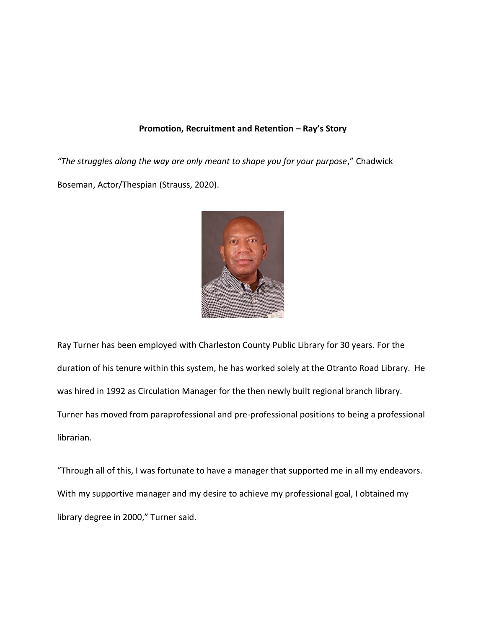#### **Promotion, Recruitment and Retention – Ray's Story**

*"The struggles along the way are only meant to shape you for your purpose*," Chadwick Boseman, Actor/Thespian (Strauss, 2020).



Ray Turner has been employed with Charleston County Public Library for 30 years. For the duration of his tenure within this system, he has worked solely at the Otranto Road Library. He was hired in 1992 as Circulation Manager for the then newly built regional branch library. Turner has moved from paraprofessional and pre-professional positions to being a professional librarian.

"Through all of this, I was fortunate to have a manager that supported me in all my endeavors. With my supportive manager and my desire to achieve my professional goal, I obtained my library degree in 2000," Turner said.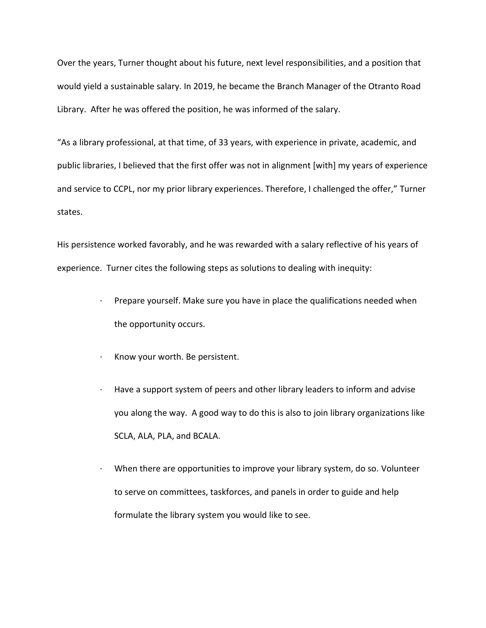Over the years, Turner thought about his future, next level responsibilities, and a position that would yield a sustainable salary. In 2019, he became the Branch Manager of the Otranto Road Library. After he was offered the position, he was informed of the salary.

"As a library professional, at that time, of 33 years, with experience in private, academic, and public libraries, I believed that the first offer was not in alignment [with] my years of experience and service to CCPL, nor my prior library experiences. Therefore, I challenged the offer," Turner states.

His persistence worked favorably, and he was rewarded with a salary reflective of his years of experience. Turner cites the following steps as solutions to dealing with inequity:

- Prepare yourself. Make sure you have in place the qualifications needed when the opportunity occurs.
- · Know your worth. Be persistent.
- · Have a support system of peers and other library leaders to inform and advise you along the way. A good way to do this is also to join library organizations like SCLA, ALA, PLA, and BCALA.
- When there are opportunities to improve your library system, do so. Volunteer to serve on committees, taskforces, and panels in order to guide and help formulate the library system you would like to see.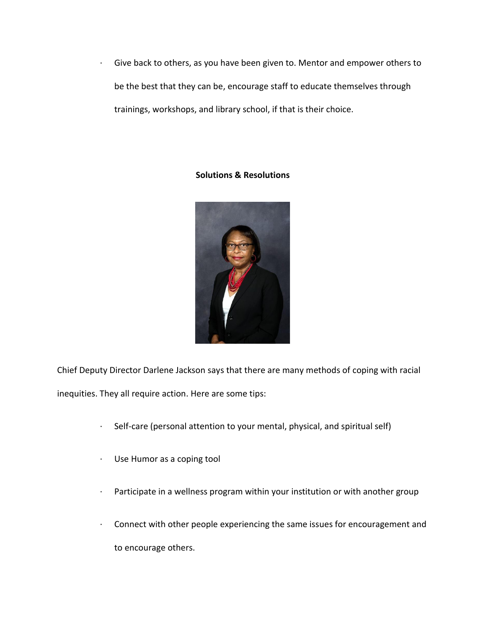· Give back to others, as you have been given to. Mentor and empower others to be the best that they can be, encourage staff to educate themselves through trainings, workshops, and library school, if that is their choice.

### **Solutions & Resolutions**



Chief Deputy Director Darlene Jackson says that there are many methods of coping with racial inequities. They all require action. Here are some tips:

- · Self-care (personal attention to your mental, physical, and spiritual self)
- · Use Humor as a coping tool
- · Participate in a wellness program within your institution or with another group
- · Connect with other people experiencing the same issues for encouragement and to encourage others.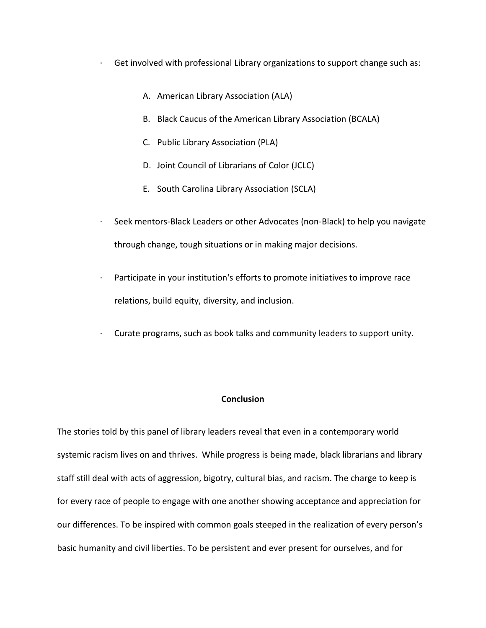- $\cdot$  Get involved with professional Library organizations to support change such as:
	- A. American Library Association (ALA)
	- B. Black Caucus of the American Library Association (BCALA)
	- C. Public Library Association (PLA)
	- D. Joint Council of Librarians of Color (JCLC)
	- E. South Carolina Library Association (SCLA)
- · Seek mentors-Black Leaders or other Advocates (non-Black) to help you navigate through change, tough situations or in making major decisions.
- · Participate in your institution's efforts to promote initiatives to improve race relations, build equity, diversity, and inclusion.
- · Curate programs, such as book talks and community leaders to support unity.

#### **Conclusion**

The stories told by this panel of library leaders reveal that even in a contemporary world systemic racism lives on and thrives. While progress is being made, black librarians and library staff still deal with acts of aggression, bigotry, cultural bias, and racism. The charge to keep is for every race of people to engage with one another showing acceptance and appreciation for our differences. To be inspired with common goals steeped in the realization of every person's basic humanity and civil liberties. To be persistent and ever present for ourselves, and for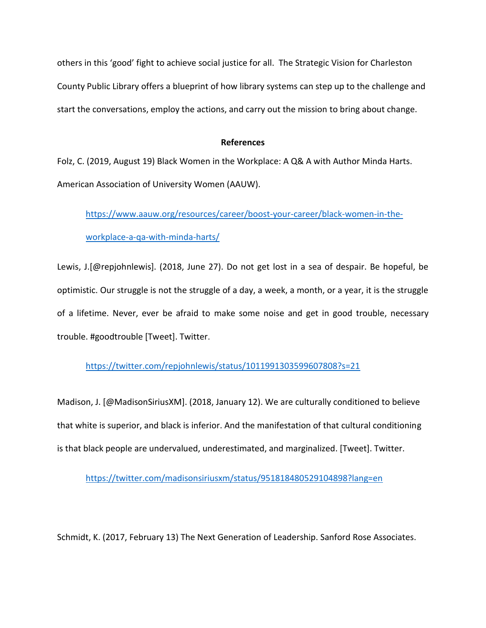others in this 'good' fight to achieve social justice for all. The Strategic Vision for Charleston County Public Library offers a blueprint of how library systems can step up to the challenge and start the conversations, employ the actions, and carry out the mission to bring about change.

#### **References**

Folz, C. (2019, August 19) Black Women in the Workplace: A Q& A with Author Minda Harts. American Association of University Women (AAUW).

[https://www.aauw.org/resources/career/boost-your-career/black-women-in-the-](https://www.aauw.org/resources/career/boost-your-career/black-women-in-the-workplace-a-qa-with-minda-harts/)

### [workplace-a-qa-with-minda-harts/](https://www.aauw.org/resources/career/boost-your-career/black-women-in-the-workplace-a-qa-with-minda-harts/)

Lewis, J.[@repjohnlewis]. (2018, June 27). Do not get lost in a sea of despair. Be hopeful, be optimistic. Our struggle is not the struggle of a day, a week, a month, or a year, it is the struggle of a lifetime. Never, ever be afraid to make some noise and get in good trouble, necessary trouble. #goodtrouble [Tweet]. Twitter.

## <https://twitter.com/repjohnlewis/status/1011991303599607808?s=21>

Madison, J. [@MadisonSiriusXM]. (2018, January 12). We are culturally conditioned to believe that white is superior, and black is inferior. And the manifestation of that cultural conditioning is that black people are undervalued, underestimated, and marginalized. [Tweet]. Twitter.

<https://twitter.com/madisonsiriusxm/status/951818480529104898?lang=en>

Schmidt, K. (2017, February 13) The Next Generation of Leadership. Sanford Rose Associates.